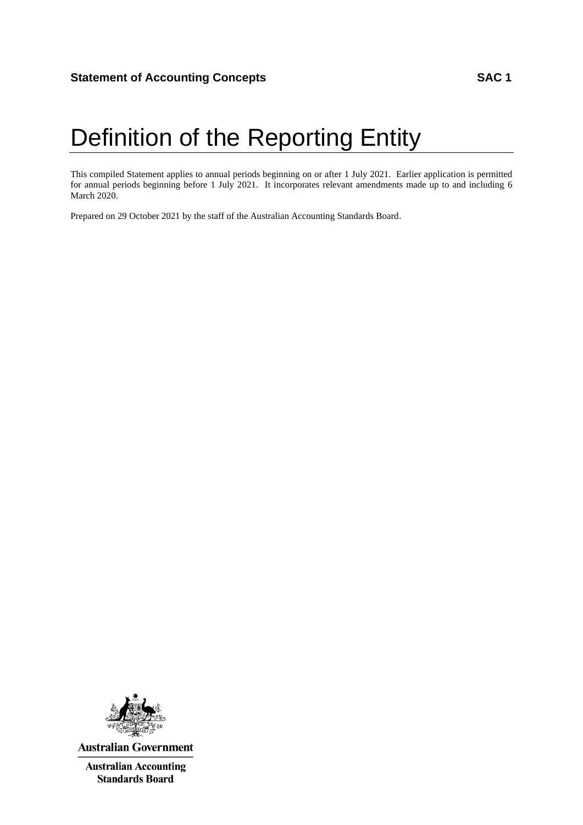# Definition of the Reporting Entity

This compiled Statement applies to annual periods beginning on or after 1 July 2021. Earlier application is permitted for annual periods beginning before 1 July 2021. It incorporates relevant amendments made up to and including 6 March 2020.

Prepared on 29 October 2021 by the staff of the Australian Accounting Standards Board.



**Australian Government** 

**Australian Accounting Standards Board**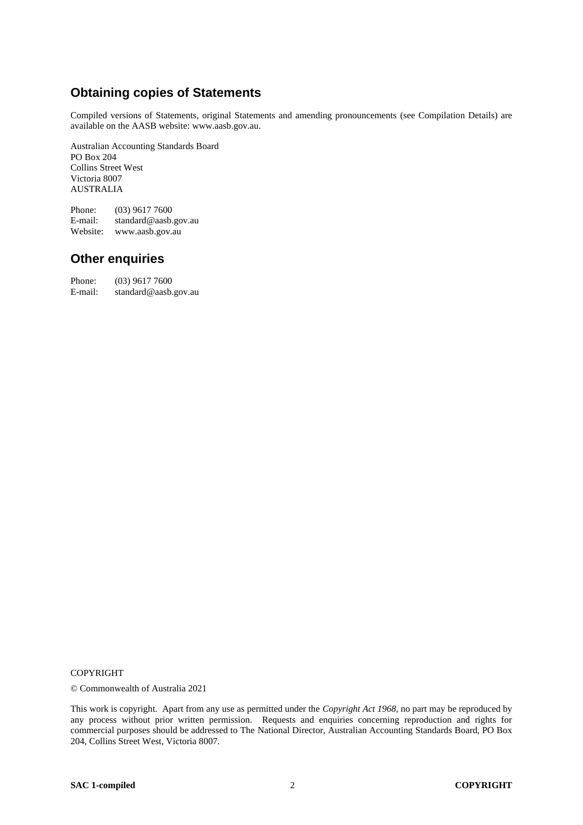# **Obtaining copies of Statements**

Compiled versions of Statements, original Statements and amending pronouncements (see Compilation Details) are available on the AASB website: www.aasb.gov.au.

Australian Accounting Standards Board PO Box 204 Collins Street West Victoria 8007 AUSTRALIA

Phone: (03) 9617 7600<br>E-mail: standard@aasb. standard@aasb.gov.au Website: www.aasb.gov.au

### **Other enquiries**

Phone: (03) 9617 7600<br>E-mail: standard@aasb. standard@aasb.gov.au

#### COPYRIGHT

© Commonwealth of Australia 2021

This work is copyright. Apart from any use as permitted under the *Copyright Act 1968*, no part may be reproduced by any process without prior written permission. Requests and enquiries concerning reproduction and rights for commercial purposes should be addressed to The National Director, Australian Accounting Standards Board, PO Box 204, Collins Street West, Victoria 8007.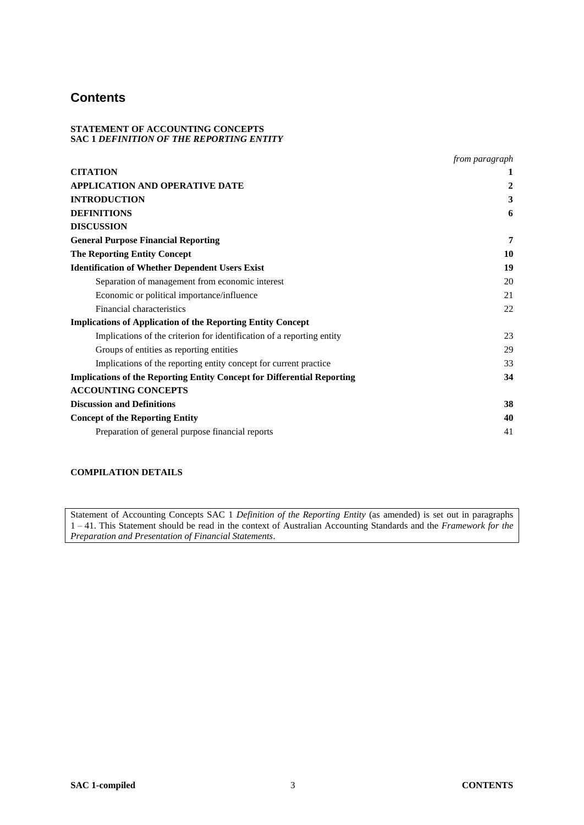### **Contents**

#### **STATEMENT OF ACCOUNTING CONCEPTS SAC 1** *DEFINITION OF THE REPORTING ENTITY*

|                                                                                | from paragraph |
|--------------------------------------------------------------------------------|----------------|
| <b>CITATION</b>                                                                |                |
| <b>APPLICATION AND OPERATIVE DATE</b>                                          | 2              |
| <b>INTRODUCTION</b>                                                            | 3              |
| <b>DEFINITIONS</b>                                                             | 6              |
| <b>DISCUSSION</b>                                                              |                |
| <b>General Purpose Financial Reporting</b>                                     | 7              |
| <b>The Reporting Entity Concept</b>                                            | 10             |
| <b>Identification of Whether Dependent Users Exist</b>                         | 19             |
| Separation of management from economic interest                                | 20             |
| Economic or political importance/influence                                     | 21             |
| Financial characteristics                                                      | 22             |
| <b>Implications of Application of the Reporting Entity Concept</b>             |                |
| Implications of the criterion for identification of a reporting entity         | 23             |
| Groups of entities as reporting entities                                       | 29             |
| Implications of the reporting entity concept for current practice              | 33             |
| <b>Implications of the Reporting Entity Concept for Differential Reporting</b> | 34             |
| <b>ACCOUNTING CONCEPTS</b>                                                     |                |
| <b>Discussion and Definitions</b>                                              | 38             |
| <b>Concept of the Reporting Entity</b>                                         | 40             |
| Preparation of general purpose financial reports                               | 41             |

### **COMPILATION DETAILS**

Statement of Accounting Concepts SAC 1 *Definition of the Reporting Entity* (as amended) is set out in paragraphs 1 – 41. This Statement should be read in the context of Australian Accounting Standards and the *Framework for the Preparation and Presentation of Financial Statements*.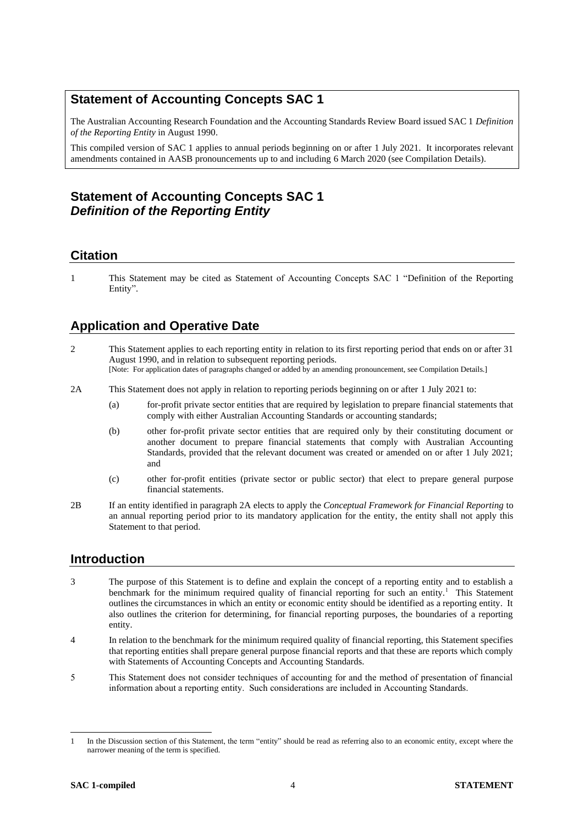### **Statement of Accounting Concepts SAC 1**

The Australian Accounting Research Foundation and the Accounting Standards Review Board issued SAC 1 *Definition of the Reporting Entity* in August 1990.

This compiled version of SAC 1 applies to annual periods beginning on or after 1 July 2021. It incorporates relevant amendments contained in AASB pronouncements up to and including 6 March 2020 (see Compilation Details).

# **Statement of Accounting Concepts SAC 1** *Definition of the Reporting Entity*

### **Citation**

1 This Statement may be cited as Statement of Accounting Concepts SAC 1 "Definition of the Reporting Entity".

# **Application and Operative Date**

- 2 This Statement applies to each reporting entity in relation to its first reporting period that ends on or after 31 August 1990, and in relation to subsequent reporting periods. [Note: For application dates of paragraphs changed or added by an amending pronouncement, see Compilation Details.]
- 2A This Statement does not apply in relation to reporting periods beginning on or after 1 July 2021 to:
	- (a) for-profit private sector entities that are required by legislation to prepare financial statements that comply with either Australian Accounting Standards or accounting standards;
	- (b) other for-profit private sector entities that are required only by their constituting document or another document to prepare financial statements that comply with Australian Accounting Standards, provided that the relevant document was created or amended on or after 1 July 2021; and
	- (c) other for-profit entities (private sector or public sector) that elect to prepare general purpose financial statements.
- 2B If an entity identified in paragraph 2A elects to apply the *Conceptual Framework for Financial Reporting* to an annual reporting period prior to its mandatory application for the entity, the entity shall not apply this Statement to that period.

### **Introduction**

- 3 The purpose of this Statement is to define and explain the concept of a reporting entity and to establish a benchmark for the minimum required quality of financial reporting for such an entity.<sup>1</sup> This Statement outlines the circumstances in which an entity or economic entity should be identified as a reporting entity. It also outlines the criterion for determining, for financial reporting purposes, the boundaries of a reporting entity.
- 4 In relation to the benchmark for the minimum required quality of financial reporting, this Statement specifies that reporting entities shall prepare general purpose financial reports and that these are reports which comply with Statements of Accounting Concepts and Accounting Standards.
- 5 This Statement does not consider techniques of accounting for and the method of presentation of financial information about a reporting entity. Such considerations are included in Accounting Standards.

<sup>1</sup> In the Discussion section of this Statement, the term "entity" should be read as referring also to an economic entity, except where the narrower meaning of the term is specified.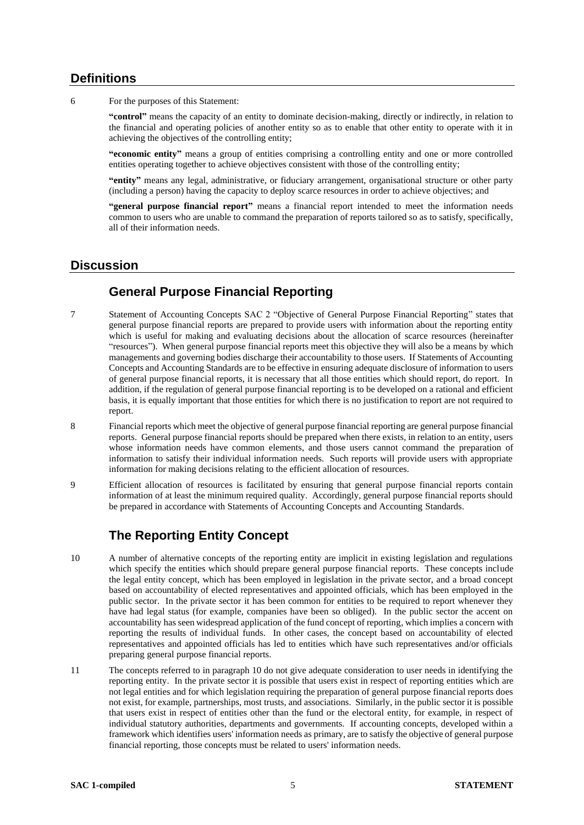### **Definitions**

6 For the purposes of this Statement:

**"control"** means the capacity of an entity to dominate decision-making, directly or indirectly, in relation to the financial and operating policies of another entity so as to enable that other entity to operate with it in achieving the objectives of the controlling entity;

**"economic entity"** means a group of entities comprising a controlling entity and one or more controlled entities operating together to achieve objectives consistent with those of the controlling entity;

**"entity"** means any legal, administrative, or fiduciary arrangement, organisational structure or other party (including a person) having the capacity to deploy scarce resources in order to achieve objectives; and

**"general purpose financial report"** means a financial report intended to meet the information needs common to users who are unable to command the preparation of reports tailored so as to satisfy, specifically, all of their information needs.

### **Discussion**

# **General Purpose Financial Reporting**

- 7 Statement of Accounting Concepts SAC 2 "Objective of General Purpose Financial Reporting" states that general purpose financial reports are prepared to provide users with information about the reporting entity which is useful for making and evaluating decisions about the allocation of scarce resources (hereinafter "resources"). When general purpose financial reports meet this objective they will also be a means by which managements and governing bodies discharge their accountability to those users. If Statements of Accounting Concepts and Accounting Standards are to be effective in ensuring adequate disclosure of information to users of general purpose financial reports, it is necessary that all those entities which should report, do report. In addition, if the regulation of general purpose financial reporting is to be developed on a rational and efficient basis, it is equally important that those entities for which there is no justification to report are not required to report.
- 8 Financial reports which meet the objective of general purpose financial reporting are general purpose financial reports. General purpose financial reports should be prepared when there exists, in relation to an entity, users whose information needs have common elements, and those users cannot command the preparation of information to satisfy their individual information needs. Such reports will provide users with appropriate information for making decisions relating to the efficient allocation of resources.
- 9 Efficient allocation of resources is facilitated by ensuring that general purpose financial reports contain information of at least the minimum required quality. Accordingly, general purpose financial reports should be prepared in accordance with Statements of Accounting Concepts and Accounting Standards.

# **The Reporting Entity Concept**

- 10 A number of alternative concepts of the reporting entity are implicit in existing legislation and regulations which specify the entities which should prepare general purpose financial reports. These concepts include the legal entity concept, which has been employed in legislation in the private sector, and a broad concept based on accountability of elected representatives and appointed officials, which has been employed in the public sector. In the private sector it has been common for entities to be required to report whenever they have had legal status (for example, companies have been so obliged). In the public sector the accent on accountability has seen widespread application of the fund concept of reporting, which implies a concern with reporting the results of individual funds. In other cases, the concept based on accountability of elected representatives and appointed officials has led to entities which have such representatives and/or officials preparing general purpose financial reports.
- 11 The concepts referred to in paragraph 10 do not give adequate consideration to user needs in identifying the reporting entity. In the private sector it is possible that users exist in respect of reporting entities which are not legal entities and for which legislation requiring the preparation of general purpose financial reports does not exist, for example, partnerships, most trusts, and associations. Similarly, in the public sector it is possible that users exist in respect of entities other than the fund or the electoral entity, for example, in respect of individual statutory authorities, departments and governments. If accounting concepts, developed within a framework which identifies users' information needs as primary, are to satisfy the objective of general purpose financial reporting, those concepts must be related to users' information needs.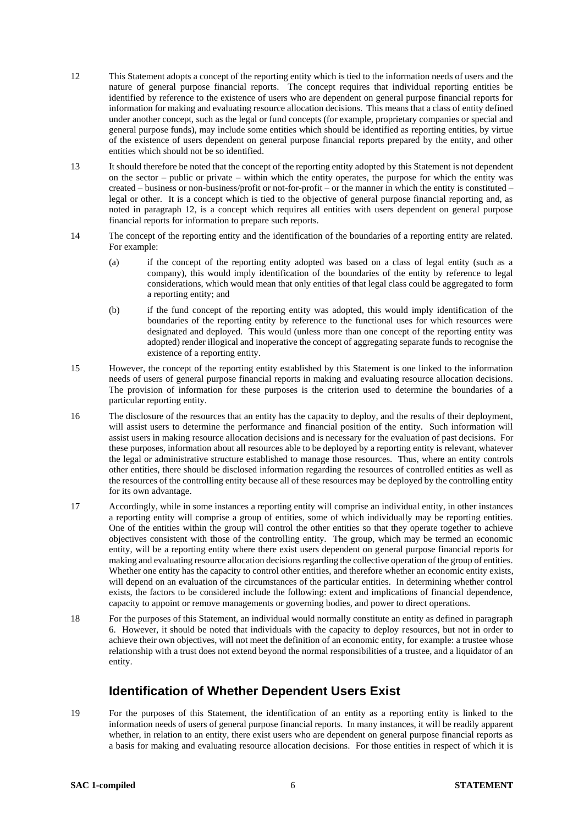- 12 This Statement adopts a concept of the reporting entity which is tied to the information needs of users and the nature of general purpose financial reports. The concept requires that individual reporting entities be identified by reference to the existence of users who are dependent on general purpose financial reports for information for making and evaluating resource allocation decisions. This means that a class of entity defined under another concept, such as the legal or fund concepts (for example, proprietary companies or special and general purpose funds), may include some entities which should be identified as reporting entities, by virtue of the existence of users dependent on general purpose financial reports prepared by the entity, and other entities which should not be so identified.
- 13 It should therefore be noted that the concept of the reporting entity adopted by this Statement is not dependent on the sector – public or private – within which the entity operates, the purpose for which the entity was created – business or non-business/profit or not-for-profit – or the manner in which the entity is constituted – legal or other. It is a concept which is tied to the objective of general purpose financial reporting and, as noted in paragraph 12, is a concept which requires all entities with users dependent on general purpose financial reports for information to prepare such reports.
- 14 The concept of the reporting entity and the identification of the boundaries of a reporting entity are related. For example:
	- (a) if the concept of the reporting entity adopted was based on a class of legal entity (such as a company), this would imply identification of the boundaries of the entity by reference to legal considerations, which would mean that only entities of that legal class could be aggregated to form a reporting entity; and
	- (b) if the fund concept of the reporting entity was adopted, this would imply identification of the boundaries of the reporting entity by reference to the functional uses for which resources were designated and deployed. This would (unless more than one concept of the reporting entity was adopted) render illogical and inoperative the concept of aggregating separate funds to recognise the existence of a reporting entity.
- 15 However, the concept of the reporting entity established by this Statement is one linked to the information needs of users of general purpose financial reports in making and evaluating resource allocation decisions. The provision of information for these purposes is the criterion used to determine the boundaries of a particular reporting entity.
- 16 The disclosure of the resources that an entity has the capacity to deploy, and the results of their deployment, will assist users to determine the performance and financial position of the entity. Such information will assist users in making resource allocation decisions and is necessary for the evaluation of past decisions. For these purposes, information about all resources able to be deployed by a reporting entity is relevant, whatever the legal or administrative structure established to manage those resources. Thus, where an entity controls other entities, there should be disclosed information regarding the resources of controlled entities as well as the resources of the controlling entity because all of these resources may be deployed by the controlling entity for its own advantage.
- 17 Accordingly, while in some instances a reporting entity will comprise an individual entity, in other instances a reporting entity will comprise a group of entities, some of which individually may be reporting entities. One of the entities within the group will control the other entities so that they operate together to achieve objectives consistent with those of the controlling entity. The group, which may be termed an economic entity, will be a reporting entity where there exist users dependent on general purpose financial reports for making and evaluating resource allocation decisions regarding the collective operation of the group of entities. Whether one entity has the capacity to control other entities, and therefore whether an economic entity exists, will depend on an evaluation of the circumstances of the particular entities. In determining whether control exists, the factors to be considered include the following: extent and implications of financial dependence, capacity to appoint or remove managements or governing bodies, and power to direct operations.
- 18 For the purposes of this Statement, an individual would normally constitute an entity as defined in paragraph 6. However, it should be noted that individuals with the capacity to deploy resources, but not in order to achieve their own objectives, will not meet the definition of an economic entity, for example: a trustee whose relationship with a trust does not extend beyond the normal responsibilities of a trustee, and a liquidator of an entity.

### **Identification of Whether Dependent Users Exist**

19 For the purposes of this Statement, the identification of an entity as a reporting entity is linked to the information needs of users of general purpose financial reports. In many instances, it will be readily apparent whether, in relation to an entity, there exist users who are dependent on general purpose financial reports as a basis for making and evaluating resource allocation decisions. For those entities in respect of which it is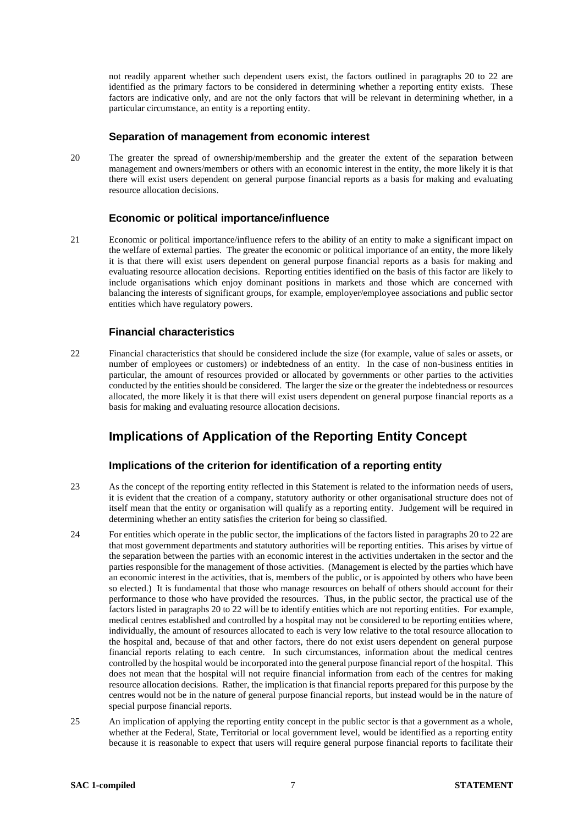not readily apparent whether such dependent users exist, the factors outlined in paragraphs 20 to 22 are identified as the primary factors to be considered in determining whether a reporting entity exists. These factors are indicative only, and are not the only factors that will be relevant in determining whether, in a particular circumstance, an entity is a reporting entity.

#### **Separation of management from economic interest**

20 The greater the spread of ownership/membership and the greater the extent of the separation between management and owners/members or others with an economic interest in the entity, the more likely it is that there will exist users dependent on general purpose financial reports as a basis for making and evaluating resource allocation decisions.

### **Economic or political importance/influence**

21 Economic or political importance/influence refers to the ability of an entity to make a significant impact on the welfare of external parties. The greater the economic or political importance of an entity, the more likely it is that there will exist users dependent on general purpose financial reports as a basis for making and evaluating resource allocation decisions. Reporting entities identified on the basis of this factor are likely to include organisations which enjoy dominant positions in markets and those which are concerned with balancing the interests of significant groups, for example, employer/employee associations and public sector entities which have regulatory powers.

### **Financial characteristics**

22 Financial characteristics that should be considered include the size (for example, value of sales or assets, or number of employees or customers) or indebtedness of an entity. In the case of non-business entities in particular, the amount of resources provided or allocated by governments or other parties to the activities conducted by the entities should be considered. The larger the size or the greater the indebtedness or resources allocated, the more likely it is that there will exist users dependent on general purpose financial reports as a basis for making and evaluating resource allocation decisions.

### **Implications of Application of the Reporting Entity Concept**

### **Implications of the criterion for identification of a reporting entity**

- 23 As the concept of the reporting entity reflected in this Statement is related to the information needs of users, it is evident that the creation of a company, statutory authority or other organisational structure does not of itself mean that the entity or organisation will qualify as a reporting entity. Judgement will be required in determining whether an entity satisfies the criterion for being so classified.
- 24 For entities which operate in the public sector, the implications of the factors listed in paragraphs 20 to 22 are that most government departments and statutory authorities will be reporting entities. This arises by virtue of the separation between the parties with an economic interest in the activities undertaken in the sector and the parties responsible for the management of those activities. (Management is elected by the parties which have an economic interest in the activities, that is, members of the public, or is appointed by others who have been so elected.) It is fundamental that those who manage resources on behalf of others should account for their performance to those who have provided the resources. Thus, in the public sector, the practical use of the factors listed in paragraphs 20 to 22 will be to identify entities which are not reporting entities. For example, medical centres established and controlled by a hospital may not be considered to be reporting entities where, individually, the amount of resources allocated to each is very low relative to the total resource allocation to the hospital and, because of that and other factors, there do not exist users dependent on general purpose financial reports relating to each centre. In such circumstances, information about the medical centres controlled by the hospital would be incorporated into the general purpose financial report of the hospital. This does not mean that the hospital will not require financial information from each of the centres for making resource allocation decisions. Rather, the implication is that financial reports prepared for this purpose by the centres would not be in the nature of general purpose financial reports, but instead would be in the nature of special purpose financial reports.
- 25 An implication of applying the reporting entity concept in the public sector is that a government as a whole, whether at the Federal, State, Territorial or local government level, would be identified as a reporting entity because it is reasonable to expect that users will require general purpose financial reports to facilitate their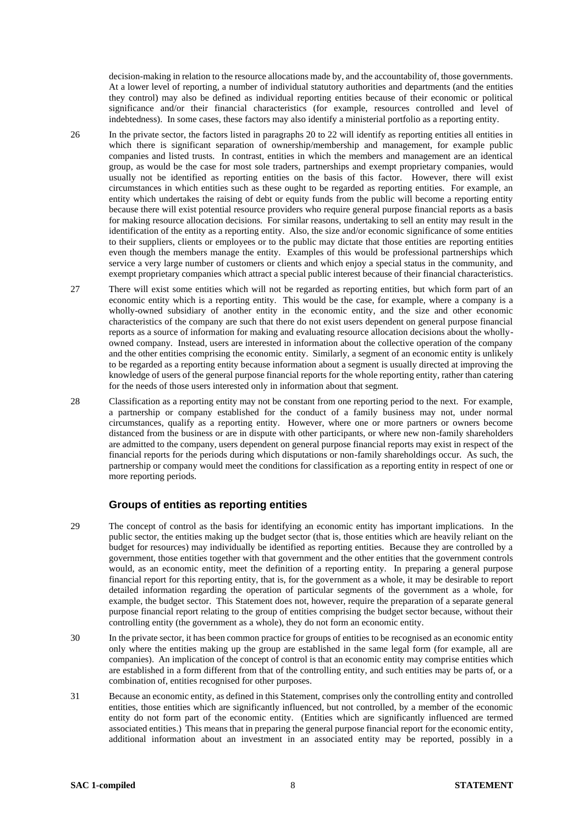decision-making in relation to the resource allocations made by, and the accountability of, those governments. At a lower level of reporting, a number of individual statutory authorities and departments (and the entities they control) may also be defined as individual reporting entities because of their economic or political significance and/or their financial characteristics (for example, resources controlled and level of indebtedness). In some cases, these factors may also identify a ministerial portfolio as a reporting entity.

- 26 In the private sector, the factors listed in paragraphs 20 to 22 will identify as reporting entities all entities in which there is significant separation of ownership/membership and management, for example public companies and listed trusts. In contrast, entities in which the members and management are an identical group, as would be the case for most sole traders, partnerships and exempt proprietary companies, would usually not be identified as reporting entities on the basis of this factor. However, there will exist circumstances in which entities such as these ought to be regarded as reporting entities. For example, an entity which undertakes the raising of debt or equity funds from the public will become a reporting entity because there will exist potential resource providers who require general purpose financial reports as a basis for making resource allocation decisions. For similar reasons, undertaking to sell an entity may result in the identification of the entity as a reporting entity. Also, the size and/or economic significance of some entities to their suppliers, clients or employees or to the public may dictate that those entities are reporting entities even though the members manage the entity. Examples of this would be professional partnerships which service a very large number of customers or clients and which enjoy a special status in the community, and exempt proprietary companies which attract a special public interest because of their financial characteristics.
- 27 There will exist some entities which will not be regarded as reporting entities, but which form part of an economic entity which is a reporting entity. This would be the case, for example, where a company is a wholly-owned subsidiary of another entity in the economic entity, and the size and other economic characteristics of the company are such that there do not exist users dependent on general purpose financial reports as a source of information for making and evaluating resource allocation decisions about the whollyowned company. Instead, users are interested in information about the collective operation of the company and the other entities comprising the economic entity. Similarly, a segment of an economic entity is unlikely to be regarded as a reporting entity because information about a segment is usually directed at improving the knowledge of users of the general purpose financial reports for the whole reporting entity, rather than catering for the needs of those users interested only in information about that segment.
- 28 Classification as a reporting entity may not be constant from one reporting period to the next. For example, a partnership or company established for the conduct of a family business may not, under normal circumstances, qualify as a reporting entity. However, where one or more partners or owners become distanced from the business or are in dispute with other participants, or where new non-family shareholders are admitted to the company, users dependent on general purpose financial reports may exist in respect of the financial reports for the periods during which disputations or non-family shareholdings occur. As such, the partnership or company would meet the conditions for classification as a reporting entity in respect of one or more reporting periods.

### **Groups of entities as reporting entities**

- 29 The concept of control as the basis for identifying an economic entity has important implications. In the public sector, the entities making up the budget sector (that is, those entities which are heavily reliant on the budget for resources) may individually be identified as reporting entities. Because they are controlled by a government, those entities together with that government and the other entities that the government controls would, as an economic entity, meet the definition of a reporting entity. In preparing a general purpose financial report for this reporting entity, that is, for the government as a whole, it may be desirable to report detailed information regarding the operation of particular segments of the government as a whole, for example, the budget sector. This Statement does not, however, require the preparation of a separate general purpose financial report relating to the group of entities comprising the budget sector because, without their controlling entity (the government as a whole), they do not form an economic entity.
- 30 In the private sector, it has been common practice for groups of entities to be recognised as an economic entity only where the entities making up the group are established in the same legal form (for example, all are companies). An implication of the concept of control is that an economic entity may comprise entities which are established in a form different from that of the controlling entity, and such entities may be parts of, or a combination of, entities recognised for other purposes.
- 31 Because an economic entity, as defined in this Statement, comprises only the controlling entity and controlled entities, those entities which are significantly influenced, but not controlled, by a member of the economic entity do not form part of the economic entity. (Entities which are significantly influenced are termed associated entities.) This means that in preparing the general purpose financial report for the economic entity, additional information about an investment in an associated entity may be reported, possibly in a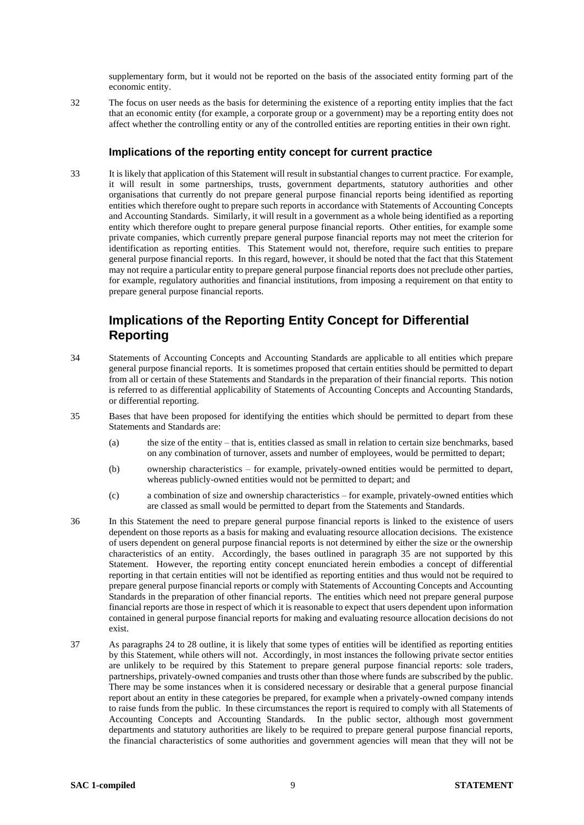supplementary form, but it would not be reported on the basis of the associated entity forming part of the economic entity.

32 The focus on user needs as the basis for determining the existence of a reporting entity implies that the fact that an economic entity (for example, a corporate group or a government) may be a reporting entity does not affect whether the controlling entity or any of the controlled entities are reporting entities in their own right.

### **Implications of the reporting entity concept for current practice**

33 It is likely that application of this Statement will result in substantial changes to current practice. For example, it will result in some partnerships, trusts, government departments, statutory authorities and other organisations that currently do not prepare general purpose financial reports being identified as reporting entities which therefore ought to prepare such reports in accordance with Statements of Accounting Concepts and Accounting Standards. Similarly, it will result in a government as a whole being identified as a reporting entity which therefore ought to prepare general purpose financial reports. Other entities, for example some private companies, which currently prepare general purpose financial reports may not meet the criterion for identification as reporting entities. This Statement would not, therefore, require such entities to prepare general purpose financial reports. In this regard, however, it should be noted that the fact that this Statement may not require a particular entity to prepare general purpose financial reports does not preclude other parties, for example, regulatory authorities and financial institutions, from imposing a requirement on that entity to prepare general purpose financial reports.

### **Implications of the Reporting Entity Concept for Differential Reporting**

- 34 Statements of Accounting Concepts and Accounting Standards are applicable to all entities which prepare general purpose financial reports. It is sometimes proposed that certain entities should be permitted to depart from all or certain of these Statements and Standards in the preparation of their financial reports. This notion is referred to as differential applicability of Statements of Accounting Concepts and Accounting Standards, or differential reporting.
- 35 Bases that have been proposed for identifying the entities which should be permitted to depart from these Statements and Standards are:
	- (a) the size of the entity that is, entities classed as small in relation to certain size benchmarks, based on any combination of turnover, assets and number of employees, would be permitted to depart;
	- (b) ownership characteristics for example, privately-owned entities would be permitted to depart, whereas publicly-owned entities would not be permitted to depart; and
	- (c) a combination of size and ownership characteristics for example, privately-owned entities which are classed as small would be permitted to depart from the Statements and Standards.
- 36 In this Statement the need to prepare general purpose financial reports is linked to the existence of users dependent on those reports as a basis for making and evaluating resource allocation decisions. The existence of users dependent on general purpose financial reports is not determined by either the size or the ownership characteristics of an entity. Accordingly, the bases outlined in paragraph 35 are not supported by this Statement. However, the reporting entity concept enunciated herein embodies a concept of differential reporting in that certain entities will not be identified as reporting entities and thus would not be required to prepare general purpose financial reports or comply with Statements of Accounting Concepts and Accounting Standards in the preparation of other financial reports. The entities which need not prepare general purpose financial reports are those in respect of which it is reasonable to expect that users dependent upon information contained in general purpose financial reports for making and evaluating resource allocation decisions do not exist.
- 37 As paragraphs 24 to 28 outline, it is likely that some types of entities will be identified as reporting entities by this Statement, while others will not. Accordingly, in most instances the following private sector entities are unlikely to be required by this Statement to prepare general purpose financial reports: sole traders, partnerships, privately-owned companies and trusts other than those where funds are subscribed by the public. There may be some instances when it is considered necessary or desirable that a general purpose financial report about an entity in these categories be prepared, for example when a privately-owned company intends to raise funds from the public. In these circumstances the report is required to comply with all Statements of Accounting Concepts and Accounting Standards. In the public sector, although most government departments and statutory authorities are likely to be required to prepare general purpose financial reports, the financial characteristics of some authorities and government agencies will mean that they will not be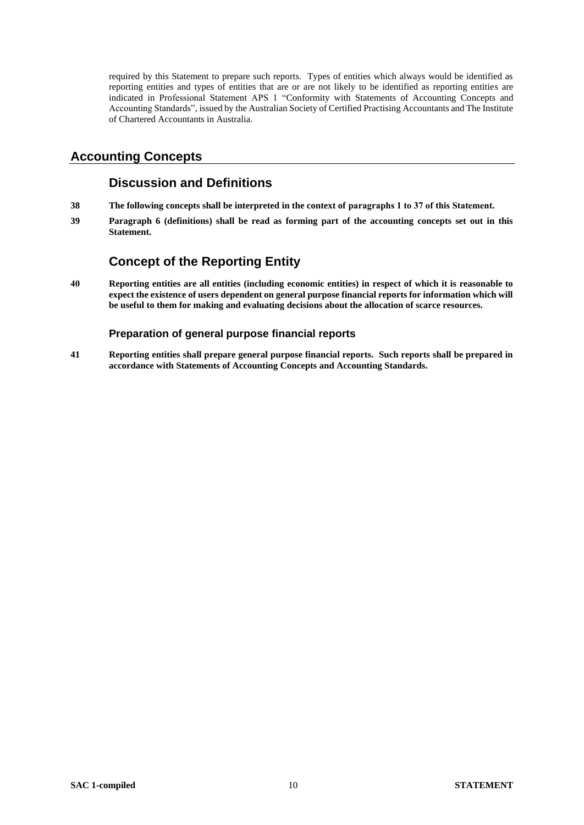required by this Statement to prepare such reports. Types of entities which always would be identified as reporting entities and types of entities that are or are not likely to be identified as reporting entities are indicated in Professional Statement APS 1 "Conformity with Statements of Accounting Concepts and Accounting Standards", issued by the Australian Society of Certified Practising Accountants and The Institute of Chartered Accountants in Australia.

### **Accounting Concepts**

### **Discussion and Definitions**

- **38 The following concepts shall be interpreted in the context of paragraphs 1 to 37 of this Statement.**
- **39 Paragraph 6 (definitions) shall be read as forming part of the accounting concepts set out in this Statement.**

# **Concept of the Reporting Entity**

**40 Reporting entities are all entities (including economic entities) in respect of which it is reasonable to expect the existence of users dependent on general purpose financial reports for information which will be useful to them for making and evaluating decisions about the allocation of scarce resources.**

### **Preparation of general purpose financial reports**

**41 Reporting entities shall prepare general purpose financial reports. Such reports shall be prepared in accordance with Statements of Accounting Concepts and Accounting Standards.**